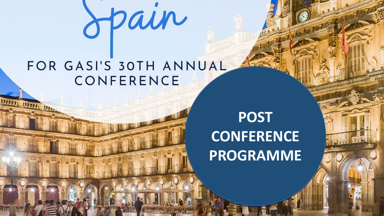### FOR GASI'S 30TH ANNUAL CONFERENCE

**188881 188881 19100** 

Spain

### **POST CONFERENCE PROGRAMME**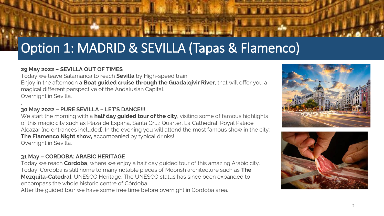#### **29 May 2022 – SEVILLA OUT OF TIMES**

Today we leave Salamanca to reach **Sevilla** by High-speed train.. Enjoy in the afternoon **a Boat guided cruise through the Guadalqivir River**, that will offer you a magical different perspective of the Andalusian Capital. Overnight in Sevilla.

#### . **30 May 2022 – PURE SEVILLA – LET'S DANCE!!!**

We start the morning with a **half day guided tour of the city**, visiting some of famous highlights of this magic city such as Plaza de España, Santa Cruz Quarter, La Cathedral, Royal Palace Alcazar (no entrances included). In the evening you will attend the most famous show in the city: **The Flamenco Night show,** accompanied by typical drinks! Overnight in Sevilla.

#### **31 May – CORDOBA: ARABIC HERITAGE**

Today we reach **Cordoba**, where we enjoy a half day guided tour of this amazing Arabic city. Today, Córdoba is still home to many notable pieces of Moorish architecture such as **The Mezquita-Catedral**, UNESCO Heritage. The UNESCO status has since been expanded to encompass the whole historic centre of Córdoba.

After the guided tour we have some free time before overnight in Cordoba area.



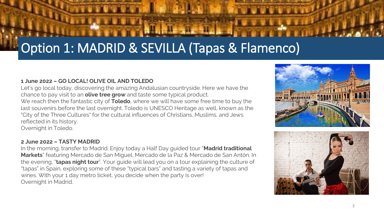#### **1 June 2022 – GO LOCAL! OLIVE OIL AND TOLEDO**

Let's go local today, discovering the amazing Andalusian countryside. Here we have the chance to pay visit to an **olive tree grow** and taste some typical product. We reach then the fantastic city of **Toledo**, where we will have some free time to buy the last souvenirs before the last overnight. Toledo is UNESCO Heritage as well, known as the "City of the Three Cultures" for the cultural influences of Christians, Muslims, and Jews reflected in its history. Overnight in Toledo.

#### **2 June 2022 – TASTY MADRID**

In the morning, transfer to Madrid. Enjoy today a Half Day guided tour "**Madrid traditional Markets**" featuring Mercado de San Miguel, Mercado de la Paz & Mercado de San Antón. In the evening, "**tapas night tour**". Your guide will lead you on a tour explaining the culture of "tapas" in Spain, exploring some of these "typical bars" and tasting a variety of tapas and wines. With your 1 day metro ticket, you decide when the party is over! Overnight in Madrid.

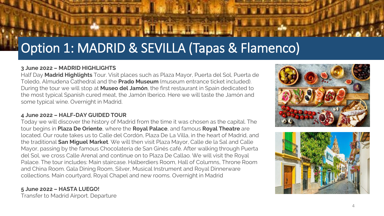#### **3 June 2022 – MADRID HIGHLIGHTS**

Half Day **Madrid Highlights** Tour. Visit places such as Plaza Mayor, Puerta del Sol, Puerta de Toledo, Almudena Cathedral and the **Prado Museum** (museum entrance ticket included). During the tour we will stop at **Museo del Jamón**, the first restaurant in Spain dedicated to the most typical Spanish cured meat, the Jamón Iberico. Here we will taste the Jamón and some typical wine. Overnight in Madrid.

#### **4 June 2022 – HALF-DAY GUIDED TOUR**

Today we will discover the history of Madrid from the time it was chosen as the capital. The tour begins in **Plaza De Oriente**, where the **Royal Palace**, and famous **Royal Theatre** are located. Our route takes us to Calle del Cordón, Plaza De La Villa, in the heart of Madrid, and the traditional **San Miguel Market**. We will then visit Plaza Mayor, Calle de la Sal and Calle Mayor, passing by the famous Chocolatería de San Ginés café. After walking through Puerta del Sol, we cross Calle Arenal and continue on to Plaza De Callao. We will visit the Royal Palace. The tour includes: Main staircase. Halberdiers Room, Hall of Columns, Throne Room and China Room. Gala Dining Room, Silver, Musical Instrument and Royal Dinnerware collections. Main courtyard, Royal Chapel and new rooms. Overnight in Madrid

#### **5 June 2022 – HASTA LUEGO!**  Transfer to Madrid Airport. Departure



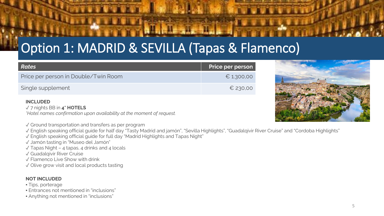| Rates                                | Price per person |
|--------------------------------------|------------------|
| Price per person in Double/Twin Room | $E$ 1.300,00     |
| Single supplement                    | $E$ 230,00       |

#### **INCLUDED**

✓ 7 nights BB in **4\* HOTELS** 

*\*Hotel names confirmation upon availability at the moment of request.* 

✓ Ground transportation and transfers as per program

✓ English speaking official guide for half day "Tasty Madrid and jamón", "Sevilla Highlights", "Guadalqivir River Cruise" and "Cordoba Highlights"

✓ English speaking official guide for full day "Madrid Highlights and Tapas Night"

✓ Jamón tasting in "Museo del Jamón"

 $\sqrt{\ }$  Tapas Night – 4 tapas, 4 drinks and 4 locals

✓ Guadalqivir River Cruise

✓ Flamenco Live Show with drink

✓ Olive grow visit and local products tasting

#### **NOT INCLUDED**

- Tips, porterage
- Entrances not mentioned in "inclusions"
- Anything not mentioned in "inclusions"

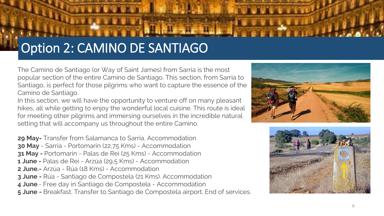# Option 2: CAMINO DE SANTIAGO

The Camino de Santiago (or Way of Saint James) from Sarria is the most popular section of the entire Camino de Santiago. This section, from Sarria to Santiago, is perfect for those pilgrims who want to capture the essence of the Camino de Santiago.

In this section, we will have the opportunity to venture off on many pleasant hikes, all while getting to enjoy the wonderful local cuisine. This route is ideal for meeting other pilgrims and immersing ourselves in the incredible natural setting that will accompany us throughout the entire Camino.

**29 May-** Transfer from Salamanca to Sarria. Accommodation **30 May** - Sarria - Portomarin (22,75 Kms) - Accommodation **31 May -** Portomarin - Palas de Rei (25 Kms) - Accommodation **1 June -** Palas de Rei - Arzúa (29,5 Kms) - Accommodation **2 June.-** Arzúa - Rúa (18 Kms) - Accommodation **3 June -** Rúa - Santiago de Compostela (21 Kms). Accommodation **4 June**.- Free day in Santiago de Compostela - Accommodation **5 June -** Breakfast. Transfer to Santiago de Compostela airport. End of services.